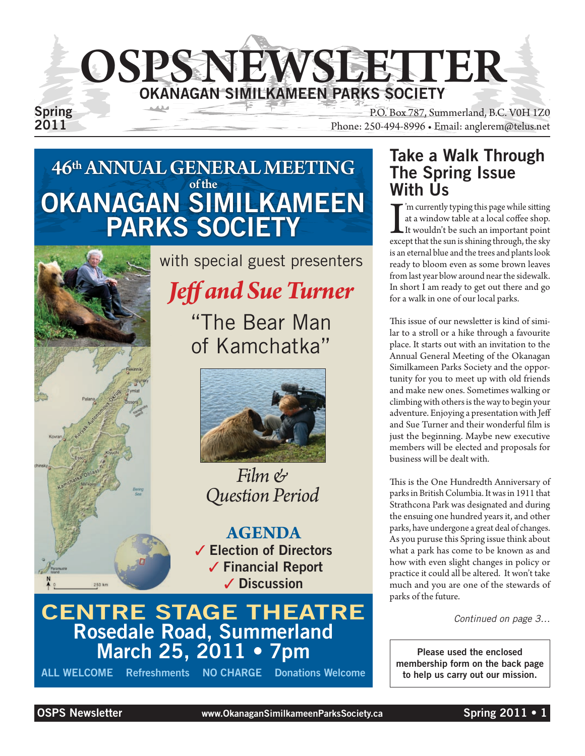

Spring<br>
P.O. Box 787, Summerland, B.C. V0H 1Z0<br>
Phone: 250-494-8996 • Email: anglerem@telus.net Phone: 250-494-8996 • Email: anglerem@telus.net

### 46th ANNUAL GENERAL MEETING of the OKANAGAN SIMILKAMEEN PARKS SOCIETY



with special guest presenters

### *Jeff and Sue Turner*

"The Bear Man of Kamchatka"



### *Film & Question Period*

**AGENDA** ✓ Election of Directors ✓ Financial Report ✓ Discussion

### CENTRE STAGE ThEATRE Rosedale Road, Summerland March 25, 2011 • 7pm

ALL WELCOME Refreshments NO ChARGE Donations Welcome

### Take a Walk Through The Spring Issue With Us

I<br>exce 'm currently typing this page while sitting at a window table at a local coffee shop. It wouldn't be such an important point except that the sun is shining through, the sky is an eternal blue and the trees and plants look ready to bloom even as some brown leaves from last year blow around near the sidewalk. In short I am ready to get out there and go for a walk in one of our local parks.

This issue of our newsletter is kind of similar to a stroll or a hike through a favourite place. It starts out with an invitation to the Annual General Meeting of the Okanagan Similkameen Parks Society and the opportunity for you to meet up with old friends and make new ones. Sometimes walking or climbing with others is the way to begin your adventure. Enjoying a presentation with Jeff and Sue Turner and their wonderful film is just the beginning. Maybe new executive members will be elected and proposals for business will be dealt with.

This is the One Hundredth Anniversary of parks in British Columbia. It was in 1911 that Strathcona Park was designated and during the ensuing one hundred years it, and other parks, have undergone a great deal of changes. As you puruse this Spring issue think about what a park has come to be known as and how with even slight changes in policy or practice it could all be altered. It won't take much and you are one of the stewards of parks of the future.

*Continued on page 3…*

Please used the enclosed membership form on the back page to help us carry out our mission.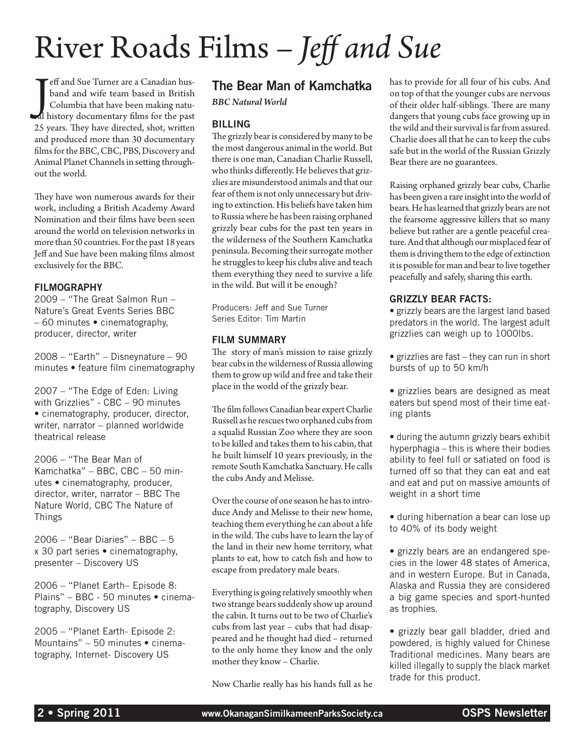# River Roads Films – *Jeff and Sue*

Jeff and Sue Turner are a Canadian husband and wife team based in British<br>Columbia that have been making natu-<br>Inistory documentary films for the past eff and Sue Turner are a Canadian husband and wife team based in British Columbia that have been making natu-25 years. They have directed, shot, written and produced more than 30 documentary films for the BBC, CBC, PBS, Discovery and Animal Planet Channels in setting throughout the world.

They have won numerous awards for their work, including a British Academy Award Nomination and their films have been seen around the world on television networks in more than 50 countries. For the past 18 years Jeff and Sue have been making films almost exclusively for the BBC.

#### **FILMOGRAPHY**

2009 – "The Great Salmon Run – Nature's Great Events Series BBC – 60 minutes • cinematography, producer, director, writer

2008 – "Earth" – Disneynature – 90 minutes • feature film cinematography

2007 – "The Edge of Eden: Living with Grizzlies" - CBC – 90 minutes • cinematography, producer, director, writer, narrator – planned worldwide theatrical release

2006 – "The Bear Man of Kamchatka" – BBC, CBC – 50 minutes • cinematography, producer, director, writer, narrator – BBC The Nature World, CBC The Nature of Things

2006 – "Bear Diaries" – BBC – 5 x 30 part series • cinematography, presenter – Discovery US

2006 – "Planet Earth– Episode 8: Plains" – BBC - 50 minutes • cinematography, Discovery US

2005 – "Planet Earth- Episode 2: Mountains" – 50 minutes • cinematography, Internet- Discovery US

#### The Bear Man of Kamchatka

*BBC Natural World*

#### Billing

The grizzly bear is considered by many to be the most dangerous animal in the world. But there is one man, Canadian Charlie Russell, who thinks differently. He believes that grizzlies are misunderstood animals and that our fear of them is not only unnecessary but driving to extinction. His beliefs have taken him to Russia where he has been raising orphaned grizzly bear cubs for the past ten years in the wilderness of the Southern Kamchatka peninsula. Becoming their surrogate mother he struggles to keep his clubs alive and teach them everything they need to survive a life in the wild. But will it be enough?

Producers: Jeff and Sue Turner Series Editor: Tim Martin

#### Film Summary

The story of man's mission to raise grizzly bear cubs in the wilderness of Russia allowing them to grow up wild and free and take their place in the world of the grizzly bear.

The film follows Canadian bear expert Charlie Russell as he rescues two orphaned cubs from a squalid Russian Zoo where they are soon to be killed and takes them to his cabin, that he built himself 10 years previously, in the remote South Kamchatka Sanctuary. He calls the cubs Andy and Melisse.

Over the course of one season he has to introduce Andy and Melisse to their new home, teaching them everything he can about a life in the wild. The cubs have to learn the lay of the land in their new home territory, what plants to eat, how to catch fish and how to escape from predatory male bears.

Everything is going relatively smoothly when two strange bears suddenly show up around the cabin. It turns out to be two of Charlie's cubs from last year – cubs that had disappeared and he thought had died – returned to the only home they know and the only mother they know – Charlie.

Now Charlie really has his hands full as he

has to provide for all four of his cubs. And on top of that the younger cubs are nervous of their older half-siblings. There are many dangers that young cubs face growing up in the wild and their survival is far from assured. Charlie does all that he can to keep the cubs safe but in the world of the Russian Grizzly Bear there are no guarantees.

Raising orphaned grizzly bear cubs, Charlie has been given a rare insight into the world of bears. He has learned that grizzly bears are not the fearsome aggressive killers that so many believe but rather are a gentle peaceful creature. And that although our misplaced fear of them is driving them to the edge of extinction it is possible for man and bear to live together peacefully and safely, sharing this earth.

#### Grizzly Bear Facts:

• grizzly bears are the largest land based predators in the world. The largest adult grizzlies can weigh up to 1000lbs.

- grizzlies are fast they can run in short bursts of up to 50 km/h
- grizzlies bears are designed as meat eaters but spend most of their time eating plants
- during the autumn grizzly bears exhibit hyperphagia – this is where their bodies ability to feel full or satiated on food is turned off so that they can eat and eat and eat and put on massive amounts of weight in a short time
- during hibernation a bear can lose up to 40% of its body weight
- grizzly bears are an endangered species in the lower 48 states of America, and in western Europe. But in Canada, Alaska and Russia they are considered a big game species and sport-hunted as trophies.

• grizzly bear gall bladder, dried and powdered, is highly valued for Chinese Traditional medicines. Many bears are killed illegally to supply the black market trade for this product.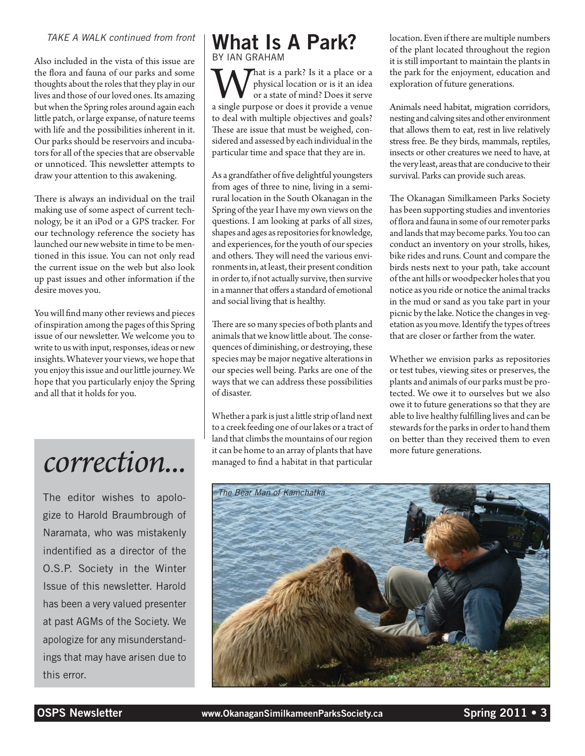#### *TAKE A WALK continued from front*

Also included in the vista of this issue are the flora and fauna of our parks and some thoughts about the roles that they play in our lives and those of our loved ones. Its amazing but when the Spring roles around again each little patch, or large expanse, of nature teems with life and the possibilities inherent in it. Our parks should be reservoirs and incubators for all of the species that are observable or unnoticed. This newsletter attempts to draw your attention to this awakening.

There is always an individual on the trail making use of some aspect of current technology, be it an iPod or a GPS tracker. For our technology reference the society has launched our new website in time to be mentioned in this issue. You can not only read the current issue on the web but also look up past issues and other information if the desire moves you.

You will find many other reviews and pieces of inspiration among the pages of this Spring issue of our newsletter. We welcome you to write to us with input, responses, ideas or new insights. Whatever your views, we hope that you enjoy this issue and our little journey. We hope that you particularly enjoy the Spring and all that it holds for you.

The editor wishes to apologize to Harold Braumbrough of Naramata, who was mistakenly indentified as a director of the O.S.P. Society in the Winter Issue of this newsletter. Harold has been a very valued presenter at past AGMs of the Society. We apologize for any misunderstandings that may have arisen due to this error.

#### What Is A Park? By Ian Graham

That is a park? Is it a place or a physical location or is it an idea or a state of mind? Does it serve a single purpose or does it provide a venue to deal with multiple objectives and goals? These are issue that must be weighed, considered and assessed by each individual in the particular time and space that they are in.

As a grandfather of five delightful youngsters from ages of three to nine, living in a semirural location in the South Okanagan in the Spring of the year I have my own views on the questions. I am looking at parks of all sizes, shapes and ages as repositories for knowledge, and experiences, for the youth of our species and others. They will need the various environments in, at least, their present condition in order to, if not actually survive, then survive in a manner that offers a standard of emotional and social living that is healthy.

There are so many species of both plants and animals that we know little about. The consequences of diminishing, or destroying, these species may be major negative alterations in our species well being. Parks are one of the ways that we can address these possibilities of disaster.

Whether a park is just a little strip of land next to a creek feeding one of our lakes or a tract of land that climbs the mountains of our region it can be home to an array of plants that have managed to find a habitat in that particular it can be home to an array of plants that have more future generations.<br> **COYYECTION...** managed to find a habitat in that particular

location. Even if there are multiple numbers of the plant located throughout the region it is still important to maintain the plants in the park for the enjoyment, education and exploration of future generations.

Animals need habitat, migration corridors, nesting and calving sites and other environment that allows them to eat, rest in live relatively stress free. Be they birds, mammals, reptiles, insects or other creatures we need to have, at the very least, areas that are conducive to their survival. Parks can provide such areas.

The Okanagan Similkameen Parks Society has been supporting studies and inventories of flora and fauna in some of our remoter parks and lands that may become parks. You too can conduct an inventory on your strolls, hikes, bike rides and runs. Count and compare the birds nests next to your path, take account of the ant hills or woodpecker holes that you notice as you ride or notice the animal tracks in the mud or sand as you take part in your picnic by the lake. Notice the changes in vegetation as you move. Identify the types of trees that are closer or farther from the water.

Whether we envision parks as repositories or test tubes, viewing sites or preserves, the plants and animals of our parks must be protected. We owe it to ourselves but we also owe it to future generations so that they are able to live healthy fulfilling lives and can be stewards for the parks in order to hand them on better than they received them to even

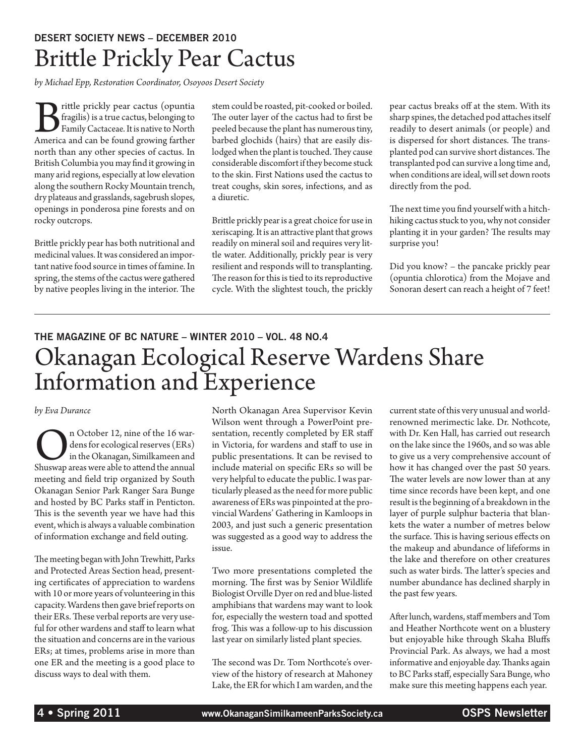### Desert Society News – December 2010 Brittle Prickly Pear Cactus

*by Michael Epp, Restoration Coordinator, Osoyoos Desert Society*

Brittle prickly pear cactus (opuntia)<br>fragilis) is a true cactus, belonging to<br>Family Cactaceae. It is native to North<br>America and can be found growing farther fragilis) is a true cactus, belonging to Family Cactaceae. It is native to North America and can be found growing farther north than any other species of cactus. In British Columbia you may find it growing in many arid regions, especially at low elevation along the southern Rocky Mountain trench, dry plateaus and grasslands, sagebrush slopes, openings in ponderosa pine forests and on rocky outcrops.

Brittle prickly pear has both nutritional and medicinal values. It was considered an important native food source in times of famine. In spring, the stems of the cactus were gathered by native peoples living in the interior. The stem could be roasted, pit-cooked or boiled. The outer layer of the cactus had to first be peeled because the plant has numerous tiny, barbed glochids (hairs) that are easily dislodged when the plant is touched. They cause considerable discomfort if they become stuck to the skin. First Nations used the cactus to treat coughs, skin sores, infections, and as a diuretic.

Brittle prickly pear is a great choice for use in xeriscaping. It is an attractive plant that grows readily on mineral soil and requires very little water. Additionally, prickly pear is very resilient and responds will to transplanting. The reason for this is tied to its reproductive cycle. With the slightest touch, the prickly pear cactus breaks off at the stem. With its sharp spines, the detached pod attaches itself readily to desert animals (or people) and is dispersed for short distances. The transplanted pod can survive short distances. The transplanted pod can survive a long time and, when conditions are ideal, will set down roots directly from the pod.

The next time you find yourself with a hitchhiking cactus stuck to you, why not consider planting it in your garden? The results may surprise you!

Did you know? – the pancake prickly pear (opuntia chlorotica) from the Mojave and Sonoran desert can reach a height of 7 feet!

### The Magazine of BC Nature – Winter 2010 – Vol. 48 No.4 Okanagan Ecological Reserve Wardens Share Information and Experience

#### *by Eva Durance*

**O**n October 12, nine of the 16 wardens for ecological reserves (ERs) in the Okanagan, Similkameen and Shuswap areas were able to attend the annual dens for ecological reserves (ERs) in the Okanagan, Similkameen and meeting and field trip organized by South Okanagan Senior Park Ranger Sara Bunge and hosted by BC Parks staff in Penticton. This is the seventh year we have had this event, which is always a valuable combination of information exchange and field outing.

The meeting began with John Trewhitt, Parks and Protected Areas Section head, presenting certificates of appreciation to wardens with 10 or more years of volunteering in this capacity. Wardens then gave brief reports on their ERs. These verbal reports are very useful for other wardens and staff to learn what the situation and concerns are in the various ERs; at times, problems arise in more than one ER and the meeting is a good place to discuss ways to deal with them.

North Okanagan Area Supervisor Kevin Wilson went through a PowerPoint presentation, recently completed by ER staff in Victoria, for wardens and staff to use in public presentations. It can be revised to include material on specific ERs so will be very helpful to educate the public. I was particularly pleased as the need for more public awareness of ERs was pinpointed at the provincial Wardens' Gathering in Kamloops in 2003, and just such a generic presentation was suggested as a good way to address the issue.

Two more presentations completed the morning. The first was by Senior Wildlife Biologist Orville Dyer on red and blue-listed amphibians that wardens may want to look for, especially the western toad and spotted frog. This was a follow-up to his discussion last year on similarly listed plant species.

The second was Dr. Tom Northcote's overview of the history of research at Mahoney Lake, the ER for which I am warden, and the current state of this very unusual and worldrenowned merimectic lake. Dr. Nothcote, with Dr. Ken Hall, has carried out research on the lake since the 1960s, and so was able to give us a very comprehensive account of how it has changed over the past 50 years. The water levels are now lower than at any time since records have been kept, and one result is the beginning of a breakdown in the layer of purple sulphur bacteria that blankets the water a number of metres below the surface. This is having serious effects on the makeup and abundance of lifeforms in the lake and therefore on other creatures such as water birds. The latter's species and number abundance has declined sharply in the past few years.

After lunch, wardens, staff members and Tom and Heather Northcote went on a blustery but enjoyable hike through Skaha Bluffs Provincial Park. As always, we had a most informative and enjoyable day. Thanks again to BC Parks staff, especially Sara Bunge, who make sure this meeting happens each year.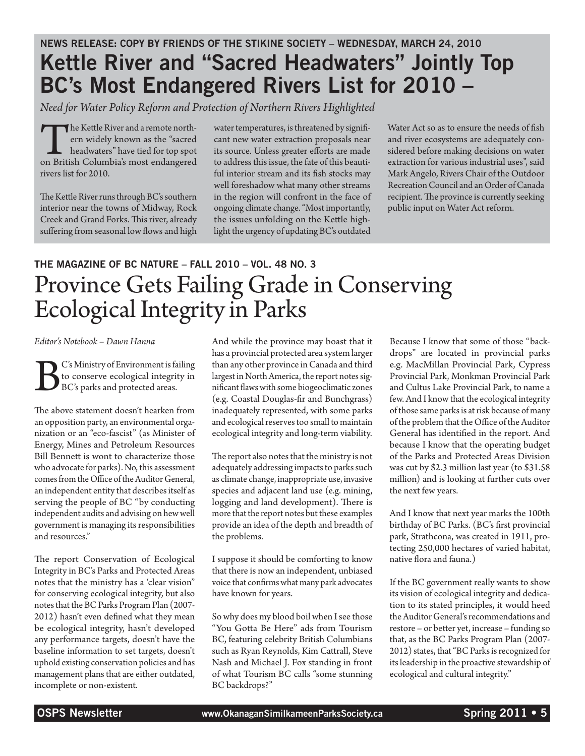### News Release: copy by Friends of the Stikine Society – Wednesday, March 24, 2010 Kettle River and "Sacred Headwaters" Jointly Top BC's Most Endangered Rivers List for 2010 –

*Need for Water Policy Reform and Protection of Northern Rivers Highlighted*

The Kettle River and a remote north-<br>ern widely known as the "sacred<br>headwaters" have tied for top spot<br>on British Columbia's most endangered ern widely known as the "sacred headwaters" have tied for top spot rivers list for 2010.

The Kettle River runs through BC's southern interior near the towns of Midway, Rock Creek and Grand Forks. This river, already suffering from seasonal low flows and high

water temperatures, is threatened by significant new water extraction proposals near its source. Unless greater efforts are made to address this issue, the fate of this beautiful interior stream and its fish stocks may well foreshadow what many other streams in the region will confront in the face of ongoing climate change. "Most importantly, the issues unfolding on the Kettle highlight the urgency of updating BC's outdated

Water Act so as to ensure the needs of fish and river ecosystems are adequately considered before making decisions on water extraction for various industrial uses", said Mark Angelo, Rivers Chair of the Outdoor Recreation Council and an Order of Canada recipient. The province is currently seeking public input on Water Act reform.

### The Magazine of BC Nature – Fall 2010 – Vol. 48 No. 3 Province Gets Failing Grade in Conserving Ecological Integrity in Parks

*Editor's Notebook – Dawn Hanna*

BC's Ministry of Environment is failing<br>to conserve ecological integrity in<br>BC's parks and protected areas. to conserve ecological integrity in BC's parks and protected areas.

The above statement doesn't hearken from an opposition party, an environmental organization or an "eco-fascist" (as Minister of Energy, Mines and Petroleum Resources Bill Bennett is wont to characterize those who advocate for parks). No, this assessment comes from the Office of the Auditor General, an independent entity that describes itself as serving the people of BC "by conducting independent audits and advising on hew well government is managing its responsibilities and resources."

The report Conservation of Ecological Integrity in BC's Parks and Protected Areas notes that the ministry has a 'clear vision" for conserving ecological integrity, but also notes that the BC Parks Program Plan (2007- 2012) hasn't even defined what they mean be ecological integrity, hasn't developed any performance targets, doesn't have the baseline information to set targets, doesn't uphold existing conservation policies and has management plans that are either outdated, incomplete or non-existent.

And while the province may boast that it has a provincial protected area system larger than any other province in Canada and third largest in North America, the report notes significant flaws with some biogeoclimatic zones (e.g. Coastal Douglas-fir and Bunchgrass) inadequately represented, with some parks and ecological reserves too small to maintain ecological integrity and long-term viability.

The report also notes that the ministry is not adequately addressing impacts to parks such as climate change, inappropriate use, invasive species and adjacent land use (e.g. mining, logging and land development). There is more that the report notes but these examples provide an idea of the depth and breadth of the problems.

I suppose it should be comforting to know that there is now an independent, unbiased voice that confirms what many park advocates have known for years.

So why does my blood boil when I see those "You Gotta Be Here" ads from Tourism BC, featuring celebrity British Columbians such as Ryan Reynolds, Kim Cattrall, Steve Nash and Michael J. Fox standing in front of what Tourism BC calls "some stunning BC backdrops?"

Because I know that some of those "backdrops" are located in provincial parks e.g. MacMillan Provincial Park, Cypress Provincial Park, Monkman Provincial Park and Cultus Lake Provincial Park, to name a few. And I know that the ecological integrity of those same parks is at risk because of many of the problem that the Office of the Auditor General has identified in the report. And because I know that the operating budget of the Parks and Protected Areas Division was cut by \$2.3 million last year (to \$31.58 million) and is looking at further cuts over the next few years.

And I know that next year marks the 100th birthday of BC Parks. (BC's first provincial park, Strathcona, was created in 1911, protecting 250,000 hectares of varied habitat, native flora and fauna.)

If the BC government really wants to show its vision of ecological integrity and dedication to its stated principles, it would heed the Auditor General's recommendations and restore – or better yet, increase – funding so that, as the BC Parks Program Plan (2007- 2012) states, that "BC Parks is recognized for its leadership in the proactive stewardship of ecological and cultural integrity."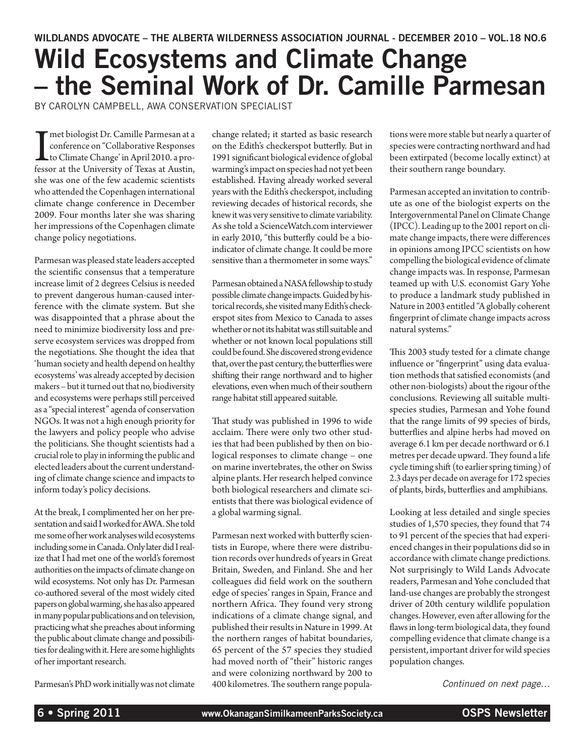## Wild Ecosystems and Climate Change – the Seminal Work of Dr. Camille Parmesan

by Carolyn Campbell, AWA Conservation Specialist

The biologist Dr. Camille Parmesan at a conference on "Collaborative Responses to Climate Change' in April 2010. a professor at the University of Texas at Austin, conference on "Collaborative Responses to Climate Change' in April 2010. a professor at the University of Texas at Austin, she was one of the few academic scientists who attended the Copenhagen international climate change conference in December 2009. Four months later she was sharing her impressions of the Copenhagen climate change policy negotiations.

Parmesan was pleased state leaders accepted the scientific consensus that a temperature increase limit of 2 degrees Celsius is needed to prevent dangerous human-caused interference with the climate system. But she was disappointed that a phrase about the need to minimize biodiversity loss and preserve ecosystem services was dropped from the negotiations. She thought the idea that 'human society and health depend on healthy ecosystems' was already accepted by decision makers – but it turned out that no, biodiversity and ecosystems were perhaps still perceived as a "special interest" agenda of conservation NGOs. It was not a high enough priority for the lawyers and policy people who advise the politicians. She thought scientists had a crucial role to play in informing the public and elected leaders about the current understanding of climate change science and impacts to inform today's policy decisions.

At the break, I complimented her on her presentation and said I worked for AWA. She told me some of her work analyses wild ecosystems including some in Canada. Only later did I realize that I had met one of the world's foremost authorities on the impacts of climate change on wild ecosystems. Not only has Dr. Parmesan co-authored several of the most widely cited papers on global warming, she has also appeared in many popular publications and on television, practicing what she preaches about informing the public about climate change and possibilities for dealing with it. Here are some highlights of her important research.

Parmesan's PhD work initially was not climate

change related; it started as basic research on the Edith's checkerspot butterfly. But in 1991 significant biological evidence of global warming's impact on species had not yet been established. Having already worked several years with the Edith's checkerspot, including reviewing decades of historical records, she knew it was very sensitive to climate variability. As she told a ScienceWatch.com interviewer in early 2010, "this butterfly could be a bioindicator of climate change. It could be more sensitive than a thermometer in some ways."

Parmesan obtained a NASA fellowship to study possible climate change impacts. Guided by historical records, she visited many Edith's checkerspot sites from Mexico to Canada to asses whether or not its habitat was still suitable and whether or not known local populations still could be found. She discovered strong evidence that, over the past century, the butterflies were shifting their range northward and to higher elevations, even when much of their southern range habitat still appeared suitable.

That study was published in 1996 to wide acclaim. There were only two other studies that had been published by then on biological responses to climate change – one on marine invertebrates, the other on Swiss alpine plants. Her research helped convince both biological researchers and climate scientists that there was biological evidence of a global warming signal.

Parmesan next worked with butterfly scientists in Europe, where there were distribution records over hundreds of years in Great Britain, Sweden, and Finland. She and her colleagues did field work on the southern edge of species' ranges in Spain, France and northern Africa. They found very strong indications of a climate change signal, and published their results in Nature in 1999. At the northern ranges of habitat boundaries, 65 percent of the 57 species they studied had moved north of "their" historic ranges and were colonizing northward by 200 to 400 kilometres. The southern range populations were more stable but nearly a quarter of species were contracting northward and had been extirpated (become locally extinct) at their southern range boundary.

Parmesan accepted an invitation to contribute as one of the biologist experts on the Intergovernmental Panel on Climate Change (IPCC). Leading up to the 2001 report on climate change impacts, there were differences in opinions among IPCC scientists on how compelling the biological evidence of climate change impacts was. In response, Parmesan teamed up with U.S. economist Gary Yohe to produce a landmark study published in Nature in 2003 entitled "A globally coherent fingerprint of climate change impacts across natural systems."

This 2003 study tested for a climate change influence or "fingerprint" using data evaluation methods that satisfied economists (and other non-biologists) about the rigour of the conclusions. Reviewing all suitable multispecies studies, Parmesan and Yohe found that the range limits of 99 species of birds, butterflies and alpine herbs had moved on average 6.1 km per decade northward or 6.1 metres per decade upward. They found a life cycle timing shift (to earlier spring timing) of 2.3 days per decade on average for 172 species of plants, birds, butterflies and amphibians.

Looking at less detailed and single species studies of 1,570 species, they found that 74 to 91 percent of the species that had experienced changes in their populations did so in accordance with climate change predictions. Not surprisingly to Wild Lands Advocate readers, Parmesan and Yohe concluded that land-use changes are probably the strongest driver of 20th century wildlife population changes. However, even after allowing for the flaws in long-term biological data, they found compelling evidence that climate change is a persistent, important driver for wild species population changes.

*Continued on next page…*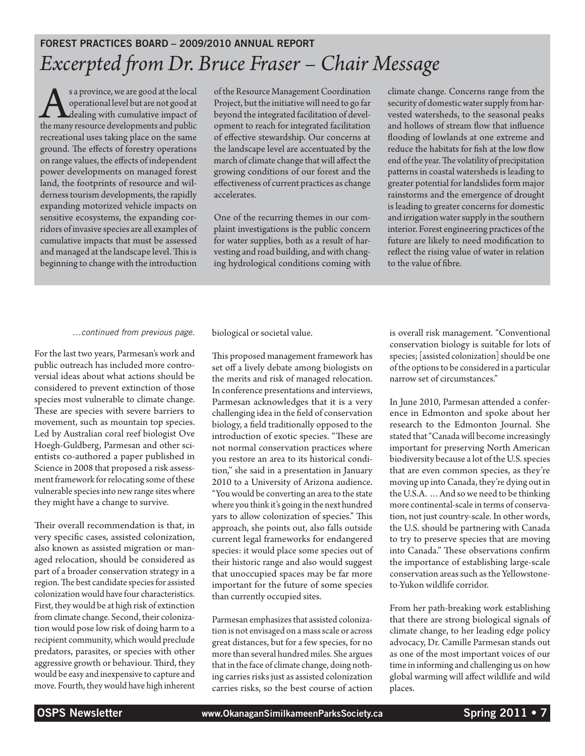### Forest Practices Board – 2009/2010 Annual Report *Excerpted from Dr. Bruce Fraser – Chair Message*

s a province, we are good at the local<br>operational level but are not good at<br>the many resource developments and public operational level but are not good at dealing with cumulative impact of the many resource developments and public recreational uses taking place on the same ground. The effects of forestry operations on range values, the effects of independent power developments on managed forest land, the footprints of resource and wilderness tourism developments, the rapidly expanding motorized vehicle impacts on sensitive ecosystems, the expanding corridors of invasive species are all examples of cumulative impacts that must be assessed and managed at the landscape level. This is beginning to change with the introduction

of the Resource Management Coordination Project, but the initiative will need to go far beyond the integrated facilitation of development to reach for integrated facilitation of effective stewardship. Our concerns at the landscape level are accentuated by the march of climate change that will affect the growing conditions of our forest and the effectiveness of current practices as change accelerates.

One of the recurring themes in our complaint investigations is the public concern for water supplies, both as a result of harvesting and road building, and with changing hydrological conditions coming with climate change. Concerns range from the security of domestic water supply from harvested watersheds, to the seasonal peaks and hollows of stream flow that influence flooding of lowlands at one extreme and reduce the habitats for fish at the low flow end of the year. The volatility of precipitation patterns in coastal watersheds is leading to greater potential for landslides form major rainstorms and the emergence of drought is leading to greater concerns for domestic and irrigation water supply in the southern interior. Forest engineering practices of the future are likely to need modification to reflect the rising value of water in relation to the value of fibre.

#### *…continued from previous page.*

For the last two years, Parmesan's work and public outreach has included more controversial ideas about what actions should be considered to prevent extinction of those species most vulnerable to climate change. These are species with severe barriers to movement, such as mountain top species. Led by Australian coral reef biologist Ove Hoegh-Guldberg, Parmesan and other scientists co-authored a paper published in Science in 2008 that proposed a risk assessment framework for relocating some of these vulnerable species into new range sites where they might have a change to survive.

Their overall recommendation is that, in very specific cases, assisted colonization, also known as assisted migration or managed relocation, should be considered as part of a broader conservation strategy in a region. The best candidate species for assisted colonization would have four characteristics. First, they would be at high risk of extinction from climate change. Second, their colonization would pose low risk of doing harm to a recipient community, which would preclude predators, parasites, or species with other aggressive growth or behaviour. Third, they would be easy and inexpensive to capture and move. Fourth, they would have high inherent

biological or societal value.

This proposed management framework has set off a lively debate among biologists on the merits and risk of managed relocation. In conference presentations and interviews, Parmesan acknowledges that it is a very challenging idea in the field of conservation biology, a field traditionally opposed to the introduction of exotic species. "These are not normal conservation practices where you restore an area to its historical condition," she said in a presentation in January 2010 to a University of Arizona audience. "You would be converting an area to the state where you think it's going in the next hundred yars to allow colonization of species." This approach, she points out, also falls outside current legal frameworks for endangered species: it would place some species out of their historic range and also would suggest that unoccupied spaces may be far more important for the future of some species than currently occupied sites.

Parmesan emphasizes that assisted colonization is not envisaged on a mass scale or across great distances, but for a few species, for no more than several hundred miles. She argues that in the face of climate change, doing nothing carries risks just as assisted colonization carries risks, so the best course of action

is overall risk management. "Conventional conservation biology is suitable for lots of species; [assisted colonization] should be one of the options to be considered in a particular narrow set of circumstances."

In June 2010, Parmesan attended a conference in Edmonton and spoke about her research to the Edmonton Journal. She stated that "Canada will become increasingly important for preserving North American biodiversity because a lot of the U.S. species that are even common species, as they're moving up into Canada, they're dying out in the U.S.A. …And so we need to be thinking more continental-scale in terms of conservation, not just country-scale. In other words, the U.S. should be partnering with Canada to try to preserve species that are moving into Canada." These observations confirm the importance of establishing large-scale conservation areas such as the Yellowstoneto-Yukon wildlife corridor.

From her path-breaking work establishing that there are strong biological signals of climate change, to her leading edge policy advocacy, Dr. Camille Parmesan stands out as one of the most important voices of our time in informing and challenging us on how global warming will affect wildlife and wild places.